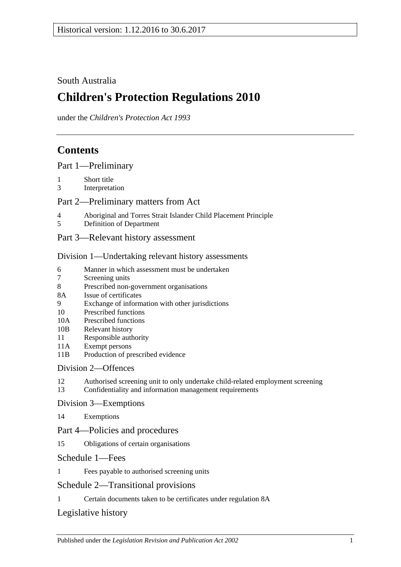## South Australia

# **Children's Protection Regulations 2010**

under the *Children's Protection Act 1993*

## **Contents**

[Part 1—Preliminary](#page-1-0)

- 1 [Short title](#page-1-1)
- 3 [Interpretation](#page-1-2)

### [Part 2—Preliminary matters from Act](#page-2-0)

- 4 [Aboriginal and Torres Strait Islander Child Placement Principle](#page-2-1)
- 5 [Definition of Department](#page-2-2)
- [Part 3—Relevant history assessment](#page-3-0)

#### [Division 1—Undertaking relevant history assessments](#page-3-1)

- 6 [Manner in which assessment must be undertaken](#page-3-2)<br>7 Screening units
- [Screening units](#page-3-3)
- 8 [Prescribed non-government organisations](#page-4-0)
- 8A [Issue of certificates](#page-4-1)
- 9 [Exchange of information with other jurisdictions](#page-5-0)
- 10 [Prescribed functions](#page-5-1)
- 10A [Prescribed functions](#page-5-2)
- 10B [Relevant history](#page-6-0)
- 11 [Responsible authority](#page-6-1)
- 11A [Exempt persons](#page-6-2)
- 11B [Production of prescribed evidence](#page-7-0)

## [Division 2—Offences](#page-7-1)

- 12 [Authorised screening unit to only undertake child-related employment screening](#page-7-2)
- 13 [Confidentiality and information management requirements](#page-8-0)

#### [Division 3—Exemptions](#page-8-1)

14 [Exemptions](#page-8-2)

#### Part [4—Policies and procedures](#page-10-0)

15 [Obligations of certain organisations](#page-10-1)

#### [Schedule 1—Fees](#page-10-2)

1 [Fees payable to authorised screening units](#page-10-3)

## [Schedule 2—Transitional provisions](#page-10-4)

1 [Certain documents taken to be certificates under regulation](#page-10-5) 8A

## [Legislative history](#page-12-0)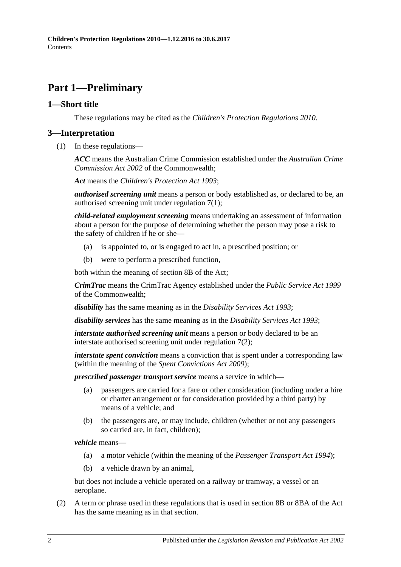# <span id="page-1-0"></span>**Part 1—Preliminary**

#### <span id="page-1-1"></span>**1—Short title**

These regulations may be cited as the *Children's Protection Regulations 2010*.

### <span id="page-1-2"></span>**3—Interpretation**

(1) In these regulations—

*ACC* means the Australian Crime Commission established under the *Australian Crime Commission Act 2002* of the Commonwealth;

*Act* means the *[Children's Protection Act](http://www.legislation.sa.gov.au/index.aspx?action=legref&type=act&legtitle=Childrens%20Protection%20Act%201993) 1993*;

*authorised screening unit* means a person or body established as, or declared to be, an authorised screening unit under [regulation](#page-3-4) 7(1);

*child-related employment screening* means undertaking an assessment of information about a person for the purpose of determining whether the person may pose a risk to the safety of children if he or she—

- (a) is appointed to, or is engaged to act in, a prescribed position; or
- (b) were to perform a prescribed function,

both within the meaning of section 8B of the Act;

*CrimTrac* means the CrimTrac Agency established under the *Public Service Act 1999* of the Commonwealth;

*disability* has the same meaning as in the *[Disability Services Act](http://www.legislation.sa.gov.au/index.aspx?action=legref&type=act&legtitle=Disability%20Services%20Act%201993) 1993*;

*disability services* has the same meaning as in the *[Disability Services Act](http://www.legislation.sa.gov.au/index.aspx?action=legref&type=act&legtitle=Disability%20Services%20Act%201993) 1993*;

*interstate authorised screening unit* means a person or body declared to be an interstate authorised screening unit under [regulation](#page-4-2) 7(2);

*interstate spent conviction* means a conviction that is spent under a corresponding law (within the meaning of the *[Spent Convictions Act](http://www.legislation.sa.gov.au/index.aspx?action=legref&type=act&legtitle=Spent%20Convictions%20Act%202009) 2009*);

*prescribed passenger transport service* means a service in which—

- (a) passengers are carried for a fare or other consideration (including under a hire or charter arrangement or for consideration provided by a third party) by means of a vehicle; and
- (b) the passengers are, or may include, children (whether or not any passengers so carried are, in fact, children);

*vehicle* means—

- (a) a motor vehicle (within the meaning of the *[Passenger Transport Act](http://www.legislation.sa.gov.au/index.aspx?action=legref&type=act&legtitle=Passenger%20Transport%20Act%201994) 1994*);
- (b) a vehicle drawn by an animal,

but does not include a vehicle operated on a railway or tramway, a vessel or an aeroplane.

(2) A term or phrase used in these regulations that is used in section 8B or 8BA of the Act has the same meaning as in that section.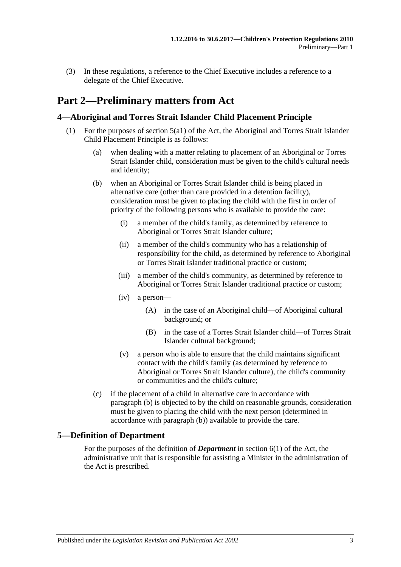(3) In these regulations, a reference to the Chief Executive includes a reference to a delegate of the Chief Executive.

## <span id="page-2-0"></span>**Part 2—Preliminary matters from Act**

#### <span id="page-2-1"></span>**4—Aboriginal and Torres Strait Islander Child Placement Principle**

- <span id="page-2-3"></span>(1) For the purposes of section 5(a1) of the Act, the Aboriginal and Torres Strait Islander Child Placement Principle is as follows:
	- (a) when dealing with a matter relating to placement of an Aboriginal or Torres Strait Islander child, consideration must be given to the child's cultural needs and identity;
	- (b) when an Aboriginal or Torres Strait Islander child is being placed in alternative care (other than care provided in a detention facility), consideration must be given to placing the child with the first in order of priority of the following persons who is available to provide the care:
		- (i) a member of the child's family, as determined by reference to Aboriginal or Torres Strait Islander culture;
		- (ii) a member of the child's community who has a relationship of responsibility for the child, as determined by reference to Aboriginal or Torres Strait Islander traditional practice or custom;
		- (iii) a member of the child's community, as determined by reference to Aboriginal or Torres Strait Islander traditional practice or custom;
		- (iv) a person—
			- (A) in the case of an Aboriginal child—of Aboriginal cultural background; or
			- (B) in the case of a Torres Strait Islander child—of Torres Strait Islander cultural background;
		- (v) a person who is able to ensure that the child maintains significant contact with the child's family (as determined by reference to Aboriginal or Torres Strait Islander culture), the child's community or communities and the child's culture;
	- (c) if the placement of a child in alternative care in accordance with [paragraph](#page-2-3) (b) is objected to by the child on reasonable grounds, consideration must be given to placing the child with the next person (determined in accordance with [paragraph](#page-2-3) (b)) available to provide the care.

#### <span id="page-2-2"></span>**5—Definition of Department**

For the purposes of the definition of *Department* in section 6(1) of the Act, the administrative unit that is responsible for assisting a Minister in the administration of the Act is prescribed.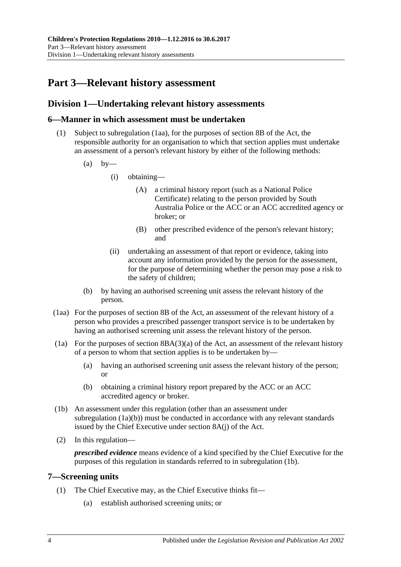# <span id="page-3-0"></span>**Part 3—Relevant history assessment**

### <span id="page-3-1"></span>**Division 1—Undertaking relevant history assessments**

#### <span id="page-3-2"></span>**6—Manner in which assessment must be undertaken**

- (1) Subject to [subregulation](#page-3-5) (1aa), for the purposes of section 8B of the Act, the responsible authority for an organisation to which that section applies must undertake an assessment of a person's relevant history by either of the following methods:
	- $(a)$  by—
		- (i) obtaining—
			- (A) a criminal history report (such as a National Police Certificate) relating to the person provided by South Australia Police or the ACC or an ACC accredited agency or broker; or
			- (B) other prescribed evidence of the person's relevant history; and
		- (ii) undertaking an assessment of that report or evidence, taking into account any information provided by the person for the assessment, for the purpose of determining whether the person may pose a risk to the safety of children;
	- (b) by having an authorised screening unit assess the relevant history of the person.
- <span id="page-3-5"></span>(1aa) For the purposes of section 8B of the Act, an assessment of the relevant history of a person who provides a prescribed passenger transport service is to be undertaken by having an authorised screening unit assess the relevant history of the person.
- (1a) For the purposes of section  $8B(A(3)(a)$  of the Act, an assessment of the relevant history of a person to whom that section applies is to be undertaken by—
	- (a) having an authorised screening unit assess the relevant history of the person; or
	- (b) obtaining a criminal history report prepared by the ACC or an ACC accredited agency or broker.
- <span id="page-3-7"></span><span id="page-3-6"></span>(1b) An assessment under this regulation (other than an assessment under [subregulation](#page-3-6) (1a)(b)) must be conducted in accordance with any relevant standards issued by the Chief Executive under section 8A(j) of the Act.
- (2) In this regulation—

*prescribed evidence* means evidence of a kind specified by the Chief Executive for the purposes of this regulation in standards referred to in [subregulation](#page-3-7) (1b).

#### <span id="page-3-4"></span><span id="page-3-3"></span>**7—Screening units**

- <span id="page-3-8"></span>(1) The Chief Executive may, as the Chief Executive thinks fit—
	- (a) establish authorised screening units; or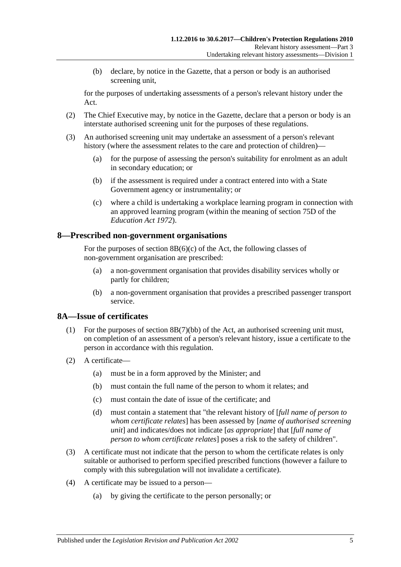(b) declare, by notice in the Gazette, that a person or body is an authorised screening unit,

for the purposes of undertaking assessments of a person's relevant history under the Act.

- <span id="page-4-2"></span>(2) The Chief Executive may, by notice in the Gazette, declare that a person or body is an interstate authorised screening unit for the purposes of these regulations.
- <span id="page-4-3"></span>(3) An authorised screening unit may undertake an assessment of a person's relevant history (where the assessment relates to the care and protection of children)—
	- (a) for the purpose of assessing the person's suitability for enrolment as an adult in secondary education; or
	- (b) if the assessment is required under a contract entered into with a State Government agency or instrumentality; or
	- (c) where a child is undertaking a workplace learning program in connection with an approved learning program (within the meaning of section 75D of the *[Education Act](http://www.legislation.sa.gov.au/index.aspx?action=legref&type=act&legtitle=Education%20Act%201972) 1972*).

#### <span id="page-4-0"></span>**8—Prescribed non-government organisations**

For the purposes of section  $8B(6)(c)$  of the Act, the following classes of non-government organisation are prescribed:

- (a) a non-government organisation that provides disability services wholly or partly for children;
- (b) a non-government organisation that provides a prescribed passenger transport service.

#### <span id="page-4-1"></span>**8A—Issue of certificates**

- (1) For the purposes of section 8B(7)(bb) of the Act, an authorised screening unit must, on completion of an assessment of a person's relevant history, issue a certificate to the person in accordance with this regulation.
- (2) A certificate—
	- (a) must be in a form approved by the Minister; and
	- (b) must contain the full name of the person to whom it relates; and
	- (c) must contain the date of issue of the certificate; and
	- (d) must contain a statement that "the relevant history of [*full name of person to whom certificate relates*] has been assessed by [*name of authorised screening unit*] and indicates/does not indicate [*as appropriate*] that [*full name of person to whom certificate relates*] poses a risk to the safety of children".
- (3) A certificate must not indicate that the person to whom the certificate relates is only suitable or authorised to perform specified prescribed functions (however a failure to comply with this subregulation will not invalidate a certificate).
- (4) A certificate may be issued to a person—
	- (a) by giving the certificate to the person personally; or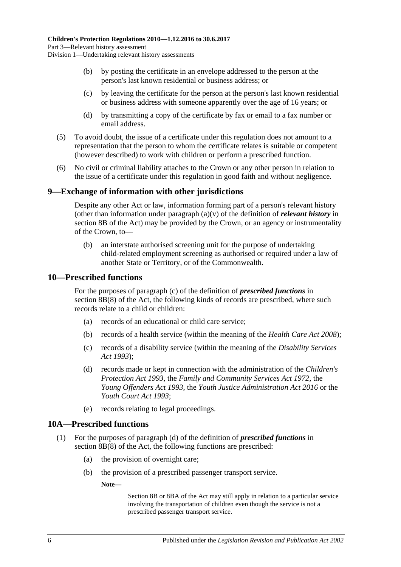- (b) by posting the certificate in an envelope addressed to the person at the person's last known residential or business address; or
- (c) by leaving the certificate for the person at the person's last known residential or business address with someone apparently over the age of 16 years; or
- (d) by transmitting a copy of the certificate by fax or email to a fax number or email address.
- (5) To avoid doubt, the issue of a certificate under this regulation does not amount to a representation that the person to whom the certificate relates is suitable or competent (however described) to work with children or perform a prescribed function.
- (6) No civil or criminal liability attaches to the Crown or any other person in relation to the issue of a certificate under this regulation in good faith and without negligence.

#### <span id="page-5-0"></span>**9—Exchange of information with other jurisdictions**

Despite any other Act or law, information forming part of a person's relevant history (other than information under paragraph (a)(v) of the definition of *relevant history* in section 8B of the Act) may be provided by the Crown, or an agency or instrumentality of the Crown, to—

(b) an interstate authorised screening unit for the purpose of undertaking child-related employment screening as authorised or required under a law of another State or Territory, or of the Commonwealth.

#### <span id="page-5-1"></span>**10—Prescribed functions**

For the purposes of paragraph (c) of the definition of *prescribed functions* in section 8B(8) of the Act, the following kinds of records are prescribed, where such records relate to a child or children:

- (a) records of an educational or child care service;
- (b) records of a health service (within the meaning of the *[Health Care Act](http://www.legislation.sa.gov.au/index.aspx?action=legref&type=act&legtitle=Health%20Care%20Act%202008) 2008*);
- (c) records of a disability service (within the meaning of the *[Disability Services](http://www.legislation.sa.gov.au/index.aspx?action=legref&type=act&legtitle=Disability%20Services%20Act%201993)  Act [1993](http://www.legislation.sa.gov.au/index.aspx?action=legref&type=act&legtitle=Disability%20Services%20Act%201993)*);
- (d) records made or kept in connection with the administration of the *[Children's](http://www.legislation.sa.gov.au/index.aspx?action=legref&type=act&legtitle=Childrens%20Protection%20Act%201993)  [Protection Act](http://www.legislation.sa.gov.au/index.aspx?action=legref&type=act&legtitle=Childrens%20Protection%20Act%201993) 1993*, the *[Family and Community Services Act](http://www.legislation.sa.gov.au/index.aspx?action=legref&type=act&legtitle=Family%20and%20Community%20Services%20Act%201972) 1972*, the *[Young Offenders Act](http://www.legislation.sa.gov.au/index.aspx?action=legref&type=act&legtitle=Young%20Offenders%20Act%201993) 1993*, the *[Youth Justice Administration Act](http://www.legislation.sa.gov.au/index.aspx?action=legref&type=act&legtitle=Youth%20Justice%20Administration%20Act%202016) 2016* or the *[Youth Court Act](http://www.legislation.sa.gov.au/index.aspx?action=legref&type=act&legtitle=Youth%20Court%20Act%201993) 1993*;
- (e) records relating to legal proceedings.

#### <span id="page-5-2"></span>**10A—Prescribed functions**

- (1) For the purposes of paragraph (d) of the definition of *prescribed functions* in section 8B(8) of the Act, the following functions are prescribed:
	- (a) the provision of overnight care;
	- (b) the provision of a prescribed passenger transport service.

**Note—**

Section 8B or 8BA of the Act may still apply in relation to a particular service involving the transportation of children even though the service is not a prescribed passenger transport service.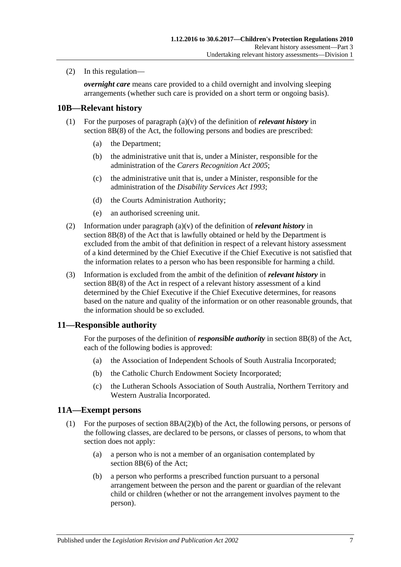(2) In this regulation—

*overnight care* means care provided to a child overnight and involving sleeping arrangements (whether such care is provided on a short term or ongoing basis).

#### <span id="page-6-0"></span>**10B—Relevant history**

- (1) For the purposes of paragraph (a)(v) of the definition of *relevant history* in section 8B(8) of the Act, the following persons and bodies are prescribed:
	- (a) the Department;
	- (b) the administrative unit that is, under a Minister, responsible for the administration of the *[Carers Recognition Act](http://www.legislation.sa.gov.au/index.aspx?action=legref&type=act&legtitle=Carers%20Recognition%20Act%202005) 2005*;
	- (c) the administrative unit that is, under a Minister, responsible for the administration of the *[Disability Services Act](http://www.legislation.sa.gov.au/index.aspx?action=legref&type=act&legtitle=Disability%20Services%20Act%201993) 1993*;
	- (d) the Courts Administration Authority;
	- (e) an authorised screening unit.
- (2) Information under paragraph (a)(v) of the definition of *relevant history* in section 8B(8) of the Act that is lawfully obtained or held by the Department is excluded from the ambit of that definition in respect of a relevant history assessment of a kind determined by the Chief Executive if the Chief Executive is not satisfied that the information relates to a person who has been responsible for harming a child.
- (3) Information is excluded from the ambit of the definition of *relevant history* in section 8B(8) of the Act in respect of a relevant history assessment of a kind determined by the Chief Executive if the Chief Executive determines, for reasons based on the nature and quality of the information or on other reasonable grounds, that the information should be so excluded.

#### <span id="page-6-1"></span>**11—Responsible authority**

For the purposes of the definition of *responsible authority* in section 8B(8) of the Act, each of the following bodies is approved:

- (a) the Association of Independent Schools of South Australia Incorporated;
- (b) the Catholic Church Endowment Society Incorporated;
- (c) the Lutheran Schools Association of South Australia, Northern Territory and Western Australia Incorporated.

#### <span id="page-6-2"></span>**11A—Exempt persons**

- <span id="page-6-3"></span>(1) For the purposes of section 8BA(2)(b) of the Act, the following persons, or persons of the following classes, are declared to be persons, or classes of persons, to whom that section does not apply:
	- (a) a person who is not a member of an organisation contemplated by section 8B(6) of the Act;
	- (b) a person who performs a prescribed function pursuant to a personal arrangement between the person and the parent or guardian of the relevant child or children (whether or not the arrangement involves payment to the person).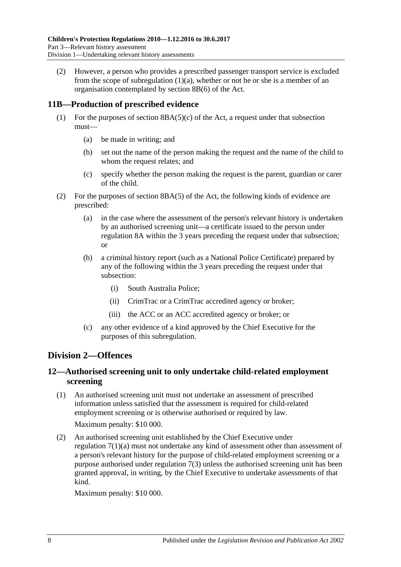(2) However, a person who provides a prescribed passenger transport service is excluded from the scope of [subregulation](#page-6-3)  $(1)(a)$ , whether or not he or she is a member of an organisation contemplated by section 8B(6) of the Act.

### <span id="page-7-0"></span>**11B—Production of prescribed evidence**

- (1) For the purposes of section  $8BA(5)(c)$  of the Act, a request under that subsection must—
	- (a) be made in writing; and
	- (b) set out the name of the person making the request and the name of the child to whom the request relates; and
	- (c) specify whether the person making the request is the parent, guardian or carer of the child.
- (2) For the purposes of section 8BA(5) of the Act, the following kinds of evidence are prescribed:
	- (a) in the case where the assessment of the person's relevant history is undertaken by an authorised screening unit—a certificate issued to the person under [regulation](#page-4-1) 8A within the  $\overline{3}$  years preceding the request under that subsection; or
	- (b) a criminal history report (such as a National Police Certificate) prepared by any of the following within the 3 years preceding the request under that subsection:
		- (i) South Australia Police;
		- (ii) CrimTrac or a CrimTrac accredited agency or broker;
		- (iii) the ACC or an ACC accredited agency or broker; or
	- (c) any other evidence of a kind approved by the Chief Executive for the purposes of this subregulation.

## <span id="page-7-1"></span>**Division 2—Offences**

### <span id="page-7-2"></span>**12—Authorised screening unit to only undertake child-related employment screening**

(1) An authorised screening unit must not undertake an assessment of prescribed information unless satisfied that the assessment is required for child-related employment screening or is otherwise authorised or required by law.

Maximum penalty: \$10 000.

(2) An authorised screening unit established by the Chief Executive under [regulation](#page-3-8) 7(1)(a) must not undertake any kind of assessment other than assessment of a person's relevant history for the purpose of child-related employment screening or a purpose authorised under [regulation](#page-4-3) 7(3) unless the authorised screening unit has been granted approval, in writing, by the Chief Executive to undertake assessments of that kind.

Maximum penalty: \$10 000.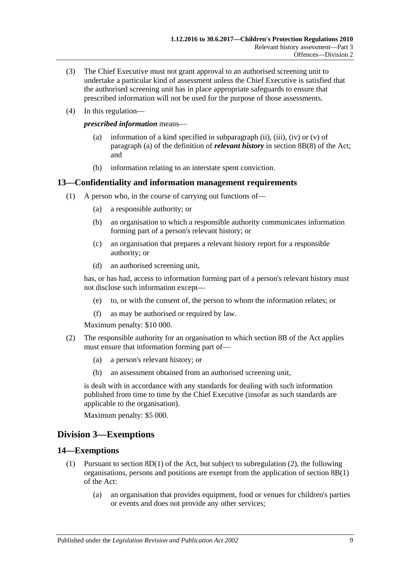- (3) The Chief Executive must not grant approval to an authorised screening unit to undertake a particular kind of assessment unless the Chief Executive is satisfied that the authorised screening unit has in place appropriate safeguards to ensure that prescribed information will not be used for the purpose of those assessments.
- (4) In this regulation—

*prescribed information* means—

- (a) information of a kind specified in subparagraph (ii), (iii), (iv) or  $(v)$  of paragraph (a) of the definition of *relevant history* in section 8B(8) of the Act; and
- (b) information relating to an interstate spent conviction.

#### <span id="page-8-0"></span>**13—Confidentiality and information management requirements**

- (1) A person who, in the course of carrying out functions of—
	- (a) a responsible authority; or
	- (b) an organisation to which a responsible authority communicates information forming part of a person's relevant history; or
	- (c) an organisation that prepares a relevant history report for a responsible authority; or
	- (d) an authorised screening unit,

has, or has had, access to information forming part of a person's relevant history must not disclose such information except—

- (e) to, or with the consent of, the person to whom the information relates; or
- (f) as may be authorised or required by law.

Maximum penalty: \$10 000.

- (2) The responsible authority for an organisation to which section 8B of the Act applies must ensure that information forming part of—
	- (a) a person's relevant history; or
	- (b) an assessment obtained from an authorised screening unit,

is dealt with in accordance with any standards for dealing with such information published from time to time by the Chief Executive (insofar as such standards are applicable to the organisation).

Maximum penalty: \$5 000.

#### <span id="page-8-1"></span>**Division 3—Exemptions**

#### <span id="page-8-3"></span><span id="page-8-2"></span>**14—Exemptions**

- (1) Pursuant to section 8D(1) of the Act, but subject to [subregulation](#page-9-0) (2), the following organisations, persons and positions are exempt from the application of section 8B(1) of the Act:
	- (a) an organisation that provides equipment, food or venues for children's parties or events and does not provide any other services;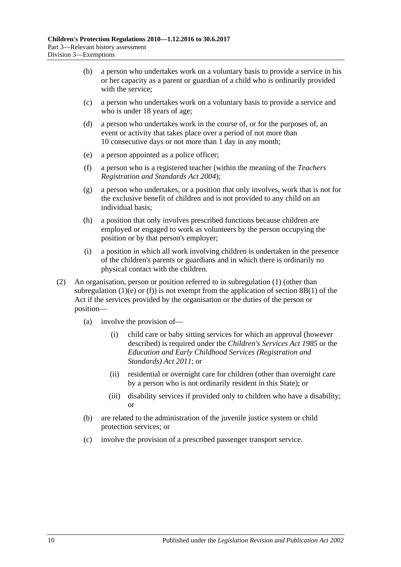- (b) a person who undertakes work on a voluntary basis to provide a service in his or her capacity as a parent or guardian of a child who is ordinarily provided with the service:
- (c) a person who undertakes work on a voluntary basis to provide a service and who is under 18 years of age;
- (d) a person who undertakes work in the course of, or for the purposes of, an event or activity that takes place over a period of not more than 10 consecutive days or not more than 1 day in any month;
- <span id="page-9-2"></span><span id="page-9-1"></span>(e) a person appointed as a police officer;
- (f) a person who is a registered teacher (within the meaning of the *[Teachers](http://www.legislation.sa.gov.au/index.aspx?action=legref&type=act&legtitle=Teachers%20Registration%20and%20Standards%20Act%202004)  [Registration and Standards Act](http://www.legislation.sa.gov.au/index.aspx?action=legref&type=act&legtitle=Teachers%20Registration%20and%20Standards%20Act%202004) 2004*);
- (g) a person who undertakes, or a position that only involves, work that is not for the exclusive benefit of children and is not provided to any child on an individual basis;
- (h) a position that only involves prescribed functions because children are employed or engaged to work as volunteers by the person occupying the position or by that person's employer;
- (i) a position in which all work involving children is undertaken in the presence of the children's parents or guardians and in which there is ordinarily no physical contact with the children.
- <span id="page-9-0"></span>(2) An organisation, person or position referred to in [subregulation](#page-8-3) (1) (other than [subregulation](#page-9-1) (1)(e) or [\(f\)\)](#page-9-2) is not exempt from the application of section  $8B(1)$  of the Act if the services provided by the organisation or the duties of the person or position—
	- (a) involve the provision of—
		- (i) child care or baby sitting services for which an approval (however described) is required under the *[Children's Services Act](http://www.legislation.sa.gov.au/index.aspx?action=legref&type=act&legtitle=Childrens%20Services%20Act%201985) 1985* or the *[Education and Early Childhood Services \(Registration and](http://www.legislation.sa.gov.au/index.aspx?action=legref&type=act&legtitle=Education%20and%20Early%20Childhood%20Services%20(Registration%20and%20Standards)%20Act%202011)  [Standards\) Act](http://www.legislation.sa.gov.au/index.aspx?action=legref&type=act&legtitle=Education%20and%20Early%20Childhood%20Services%20(Registration%20and%20Standards)%20Act%202011) 2011*; or
		- (ii) residential or overnight care for children (other than overnight care by a person who is not ordinarily resident in this State); or
		- (iii) disability services if provided only to children who have a disability; or
	- (b) are related to the administration of the juvenile justice system or child protection services; or
	- (c) involve the provision of a prescribed passenger transport service.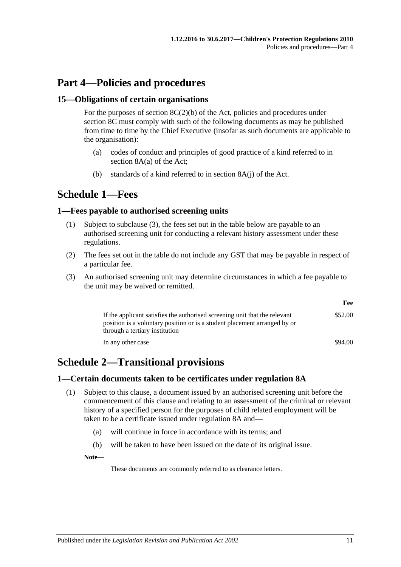# <span id="page-10-0"></span>**Part 4—Policies and procedures**

#### <span id="page-10-1"></span>**15—Obligations of certain organisations**

For the purposes of section  $8C(2)(b)$  of the Act, policies and procedures under section 8C must comply with such of the following documents as may be published from time to time by the Chief Executive (insofar as such documents are applicable to the organisation):

- (a) codes of conduct and principles of good practice of a kind referred to in section 8A(a) of the Act;
- (b) standards of a kind referred to in section 8A(j) of the Act.

## <span id="page-10-2"></span>**Schedule 1—Fees**

#### <span id="page-10-3"></span>**1—Fees payable to authorised screening units**

- (1) Subject to [subclause](#page-10-6) (3), the fees set out in the table below are payable to an authorised screening unit for conducting a relevant history assessment under these regulations.
- (2) The fees set out in the table do not include any GST that may be payable in respect of a particular fee.
- <span id="page-10-6"></span>(3) An authorised screening unit may determine circumstances in which a fee payable to the unit may be waived or remitted.

|                                                                                                                                                                                           | Fee     |
|-------------------------------------------------------------------------------------------------------------------------------------------------------------------------------------------|---------|
| If the applicant satisfies the authorised screening unit that the relevant<br>position is a voluntary position or is a student placement arranged by or<br>through a tertiary institution | \$52.00 |
| In any other case                                                                                                                                                                         | \$94.00 |

## <span id="page-10-4"></span>**Schedule 2—Transitional provisions**

#### <span id="page-10-7"></span><span id="page-10-5"></span>**1—Certain documents taken to be certificates under regulation 8A**

- (1) Subject to this clause, a document issued by an authorised screening unit before the commencement of this clause and relating to an assessment of the criminal or relevant history of a specified person for the purposes of child related employment will be taken to be a certificate issued under [regulation](#page-4-1) 8A and—
	- (a) will continue in force in accordance with its terms; and
	- (b) will be taken to have been issued on the date of its original issue.

**Note—**

These documents are commonly referred to as clearance letters.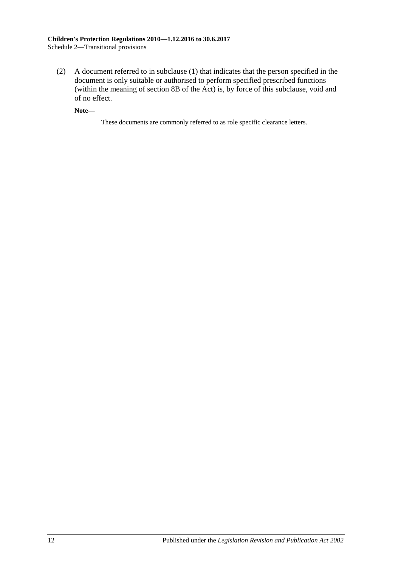(2) A document referred to in [subclause](#page-10-7) (1) that indicates that the person specified in the document is only suitable or authorised to perform specified prescribed functions (within the meaning of section 8B of the Act) is, by force of this subclause, void and of no effect.

**Note—**

These documents are commonly referred to as role specific clearance letters.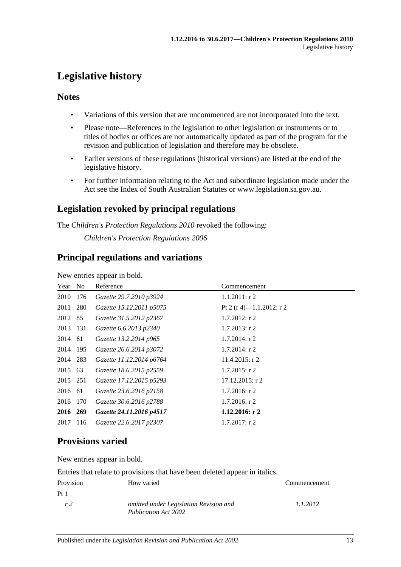# <span id="page-12-0"></span>**Legislative history**

## **Notes**

- Variations of this version that are uncommenced are not incorporated into the text.
- Please note—References in the legislation to other legislation or instruments or to titles of bodies or offices are not automatically updated as part of the program for the revision and publication of legislation and therefore may be obsolete.
- Earlier versions of these regulations (historical versions) are listed at the end of the legislative history.
- For further information relating to the Act and subordinate legislation made under the Act see the Index of South Australian Statutes or www.legislation.sa.gov.au.

## **Legislation revoked by principal regulations**

The *Children's Protection Regulations 2010* revoked the following:

*Children's Protection Regulations 2006*

## **Principal regulations and variations**

New entries appear in bold.

| Year No  |     | Reference                | Commencement             |
|----------|-----|--------------------------|--------------------------|
| 2010     | 176 | Gazette 29.7.2010 p3924  | $1.1.2011:$ r 2          |
| 2011 280 |     | Gazette 15.12.2011 p5075 | Pt 2 (r 4)-1.1.2012: r 2 |
| 2012 85  |     | Gazette 31.5.2012 p2367  | $1.7.2012$ : r 2         |
| 2013 131 |     | Gazette 6.6.2013 p2340   | $1.7.2013$ : r 2         |
| 2014 61  |     | Gazette 13.2.2014 p965   | $1.7.2014$ : r 2         |
| 2014 195 |     | Gazette 26.6.2014 p3072  | $1.7.2014$ : r 2         |
| 2014 283 |     | Gazette 11.12.2014 p6764 | $11.4.2015$ : r 2        |
| 2015 63  |     | Gazette 18.6.2015 p2559  | $1.7.2015$ : r 2         |
| 2015 251 |     | Gazette 17.12.2015 p5293 | $17.12.2015$ : r 2       |
| 2016 61  |     | Gazette 23.6.2016 p2158  | $1.7.2016$ : r 2         |
| 2016 170 |     | Gazette 30.6.2016 p2788  | $1.7.2016$ : r 2         |
| 2016 269 |     | Gazette 24.11.2016 p4517 | 1.12.2016: $r2$          |
| 2017     | 116 | Gazette 22.6.2017 p2307  | $1.7.2017$ : r 2         |

## **Provisions varied**

New entries appear in bold.

Entries that relate to provisions that have been deleted appear in italics.

| Provision       | How varied                                                     | Commencement |
|-----------------|----------------------------------------------------------------|--------------|
| Pt <sub>1</sub> |                                                                |              |
| r <sub>2</sub>  | omitted under Legislation Revision and<br>Publication Act 2002 | 1.1.2012     |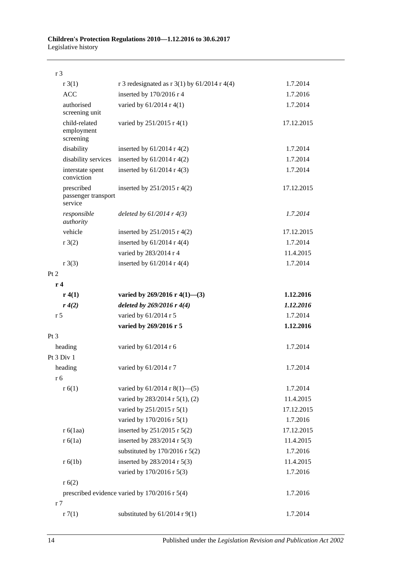r 3

| r3(1)                                                     | r 3 redesignated as r 3(1) by $61/2014$ r 4(4) | 1.7.2014   |  |  |
|-----------------------------------------------------------|------------------------------------------------|------------|--|--|
| <b>ACC</b>                                                | inserted by 170/2016 r 4                       | 1.7.2016   |  |  |
| authorised<br>screening unit                              | varied by $61/2014$ r 4(1)                     | 1.7.2014   |  |  |
| child-related<br>employment<br>screening                  | varied by 251/2015 r 4(1)                      | 17.12.2015 |  |  |
| disability                                                | inserted by $61/2014$ r 4(2)                   | 1.7.2014   |  |  |
| disability services                                       | inserted by $61/2014$ r 4(2)                   | 1.7.2014   |  |  |
| interstate spent<br>conviction                            | inserted by $61/2014$ r 4(3)                   | 1.7.2014   |  |  |
| prescribed<br>passenger transport<br>service              | inserted by $251/2015$ r 4(2)                  | 17.12.2015 |  |  |
| responsible<br>authority                                  | deleted by $61/2014$ r $4(3)$                  | 1.7.2014   |  |  |
| vehicle                                                   | inserted by $251/2015$ r 4(2)                  | 17.12.2015 |  |  |
| r3(2)                                                     | inserted by $61/2014$ r 4(4)                   | 1.7.2014   |  |  |
|                                                           | varied by 283/2014 r 4                         | 11.4.2015  |  |  |
| $r \cdot 3(3)$                                            | inserted by $61/2014$ r 4(4)                   | 1.7.2014   |  |  |
| Pt 2                                                      |                                                |            |  |  |
| r4                                                        |                                                |            |  |  |
| r(4(1))                                                   | varied by 269/2016 r 4(1)–(3)                  | 1.12.2016  |  |  |
| r(4(2)                                                    | deleted by $269/2016r$ 4(4)                    | 1.12.2016  |  |  |
| r <sub>5</sub>                                            | varied by 61/2014 r 5                          | 1.7.2014   |  |  |
|                                                           | varied by 269/2016 r 5                         | 1.12.2016  |  |  |
| $Pt\,3$                                                   |                                                |            |  |  |
| heading                                                   | varied by 61/2014 r 6                          | 1.7.2014   |  |  |
| Pt 3 Div 1                                                |                                                |            |  |  |
| heading                                                   | varied by 61/2014 r 7                          | 1.7.2014   |  |  |
| r 6                                                       |                                                |            |  |  |
| r(6(1))                                                   | varied by $61/2014$ r $8(1)$ —(5)              | 1.7.2014   |  |  |
|                                                           | varied by 283/2014 r 5(1), (2)                 | 11.4.2015  |  |  |
|                                                           | varied by 251/2015 r 5(1)                      | 17.12.2015 |  |  |
|                                                           | varied by 170/2016 r 5(1)                      | 1.7.2016   |  |  |
| r 6(1aa)                                                  | inserted by 251/2015 r 5(2)                    | 17.12.2015 |  |  |
| r 6(1a)                                                   | inserted by 283/2014 r 5(3)                    | 11.4.2015  |  |  |
|                                                           | substituted by $170/2016$ r $5(2)$             | 1.7.2016   |  |  |
| r 6(1b)                                                   | inserted by 283/2014 r 5(3)                    | 11.4.2015  |  |  |
|                                                           | varied by 170/2016 r 5(3)                      | 1.7.2016   |  |  |
| r(6(2)                                                    |                                                |            |  |  |
| prescribed evidence varied by 170/2016 r 5(4)<br>1.7.2016 |                                                |            |  |  |
| r <sub>7</sub>                                            |                                                |            |  |  |
| r7(1)                                                     | substituted by $61/2014$ r $9(1)$              | 1.7.2014   |  |  |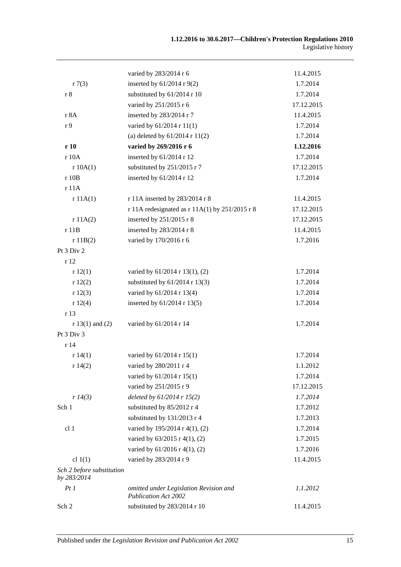|                                          | varied by 283/2014 r 6                                                | 11.4.2015  |
|------------------------------------------|-----------------------------------------------------------------------|------------|
| r7(3)                                    | inserted by $61/2014$ r 9(2)                                          | 1.7.2014   |
| $\,$ r $\,$                              | substituted by 61/2014 r 10                                           | 1.7.2014   |
|                                          | varied by 251/2015 r 6                                                | 17.12.2015 |
| r 8A                                     | inserted by 283/2014 r 7                                              | 11.4.2015  |
| r 9                                      | varied by 61/2014 r 11(1)                                             | 1.7.2014   |
|                                          | (a) deleted by $61/2014$ r $11(2)$                                    | 1.7.2014   |
| r10                                      | varied by 269/2016 r 6                                                | 1.12.2016  |
| r 10A                                    | inserted by 61/2014 r 12                                              | 1.7.2014   |
| r 10A(1)                                 | substituted by 251/2015 r 7                                           | 17.12.2015 |
| r 10B                                    | inserted by 61/2014 r 12                                              | 1.7.2014   |
| r11A                                     |                                                                       |            |
| r11A(1)                                  | r 11A inserted by 283/2014 r 8                                        | 11.4.2015  |
|                                          | r 11A redesignated as $r 11A(1)$ by 251/2015 r 8                      | 17.12.2015 |
| r 11A(2)                                 | inserted by 251/2015 r 8                                              | 17.12.2015 |
| r 11B                                    | inserted by 283/2014 r 8                                              | 11.4.2015  |
| r 11B(2)                                 | varied by 170/2016 r 6                                                | 1.7.2016   |
| Pt 3 Div 2                               |                                                                       |            |
| r 12                                     |                                                                       |            |
| r12(1)                                   | varied by 61/2014 r 13(1), (2)                                        | 1.7.2014   |
| r12(2)                                   | substituted by $61/2014$ r 13(3)                                      | 1.7.2014   |
| r12(3)                                   | varied by 61/2014 r 13(4)                                             | 1.7.2014   |
| r12(4)                                   | inserted by 61/2014 r 13(5)                                           | 1.7.2014   |
| r 13                                     |                                                                       |            |
| $r 13(1)$ and (2)                        | varied by 61/2014 r 14                                                | 1.7.2014   |
| Pt 3 Div 3                               |                                                                       |            |
| r14                                      |                                                                       |            |
| r 14(1)                                  | varied by 61/2014 r 15(1)                                             | 1.7.2014   |
| r $14(2)$                                | varied by 280/2011 r 4                                                | 1.1.2012   |
|                                          | varied by 61/2014 r 15(1)                                             | 1.7.2014   |
|                                          | varied by 251/2015 r 9                                                | 17.12.2015 |
| r 14(3)                                  | deleted by $61/2014$ r $15(2)$                                        | 1.7.2014   |
| Sch 1                                    | substituted by 85/2012 r 4                                            | 1.7.2012   |
|                                          | substituted by 131/2013 r 4                                           | 1.7.2013   |
| cl 1                                     | varied by 195/2014 r 4(1), (2)                                        | 1.7.2014   |
|                                          | varied by 63/2015 r 4(1), (2)                                         | 1.7.2015   |
|                                          | varied by 61/2016 r 4(1), (2)                                         | 1.7.2016   |
| cl $1(1)$                                | varied by 283/2014 r 9                                                | 11.4.2015  |
| Sch 2 before substitution<br>by 283/2014 |                                                                       |            |
| PtI                                      | omitted under Legislation Revision and<br><b>Publication Act 2002</b> | 1.1.2012   |
| Sch 2                                    | substituted by 283/2014 r 10                                          | 11.4.2015  |